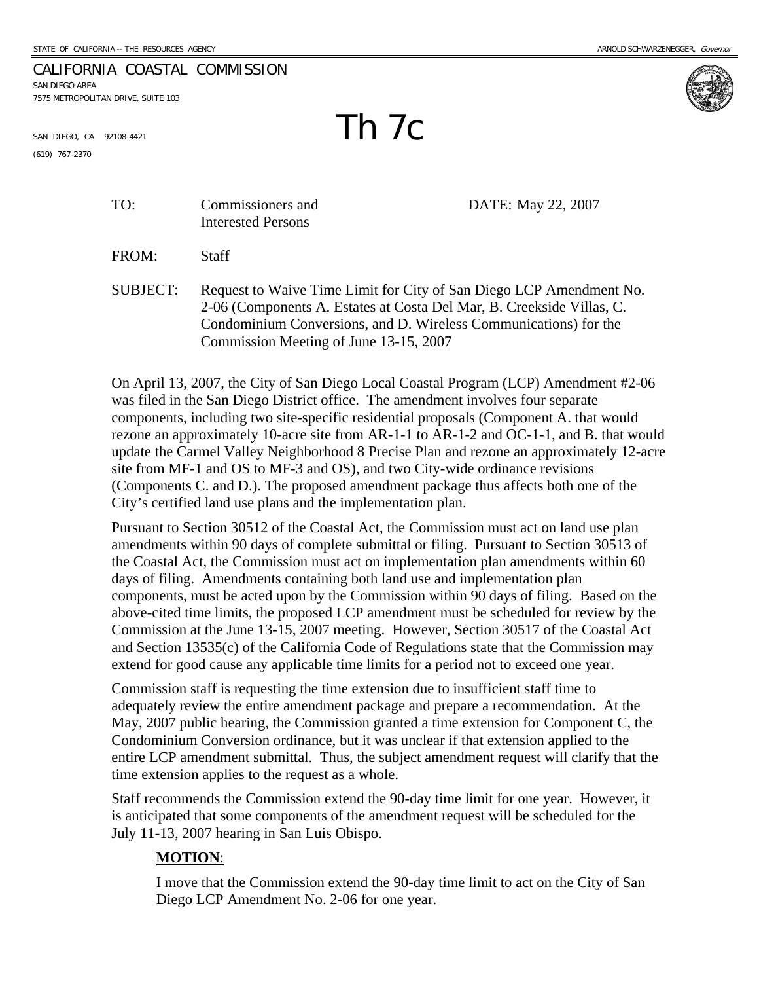## CALIFORNIA COASTAL COMMISSION SAN DIEGO AREA

7575 METROPOLITAN DRIVE, SUITE 103



SAN DIEGO, CA 92108-4421  $\blacksquare$ 

(619) 767-2370

TO: Commissioners and DATE: May 22, 2007

FROM: Staff

Interested Persons

SUBJECT: Request to Waive Time Limit for City of San Diego LCP Amendment No. 2-06 (Components A. Estates at Costa Del Mar, B. Creekside Villas, C. Condominium Conversions, and D. Wireless Communications) for the Commission Meeting of June 13-15, 2007

On April 13, 2007, the City of San Diego Local Coastal Program (LCP) Amendment #2-06 was filed in the San Diego District office. The amendment involves four separate components, including two site-specific residential proposals (Component A. that would rezone an approximately 10-acre site from AR-1-1 to AR-1-2 and OC-1-1, and B. that would update the Carmel Valley Neighborhood 8 Precise Plan and rezone an approximately 12-acre site from MF-1 and OS to MF-3 and OS), and two City-wide ordinance revisions (Components C. and D.). The proposed amendment package thus affects both one of the City's certified land use plans and the implementation plan.

Pursuant to Section 30512 of the Coastal Act, the Commission must act on land use plan amendments within 90 days of complete submittal or filing. Pursuant to Section 30513 of the Coastal Act, the Commission must act on implementation plan amendments within 60 days of filing. Amendments containing both land use and implementation plan components, must be acted upon by the Commission within 90 days of filing. Based on the above-cited time limits, the proposed LCP amendment must be scheduled for review by the Commission at the June 13-15, 2007 meeting. However, Section 30517 of the Coastal Act and Section 13535(c) of the California Code of Regulations state that the Commission may extend for good cause any applicable time limits for a period not to exceed one year.

Commission staff is requesting the time extension due to insufficient staff time to adequately review the entire amendment package and prepare a recommendation. At the May, 2007 public hearing, the Commission granted a time extension for Component C, the Condominium Conversion ordinance, but it was unclear if that extension applied to the entire LCP amendment submittal. Thus, the subject amendment request will clarify that the time extension applies to the request as a whole.

Staff recommends the Commission extend the 90-day time limit for one year. However, it is anticipated that some components of the amendment request will be scheduled for the July 11-13, 2007 hearing in San Luis Obispo.

## **MOTION**:

I move that the Commission extend the 90-day time limit to act on the City of San Diego LCP Amendment No. 2-06 for one year.